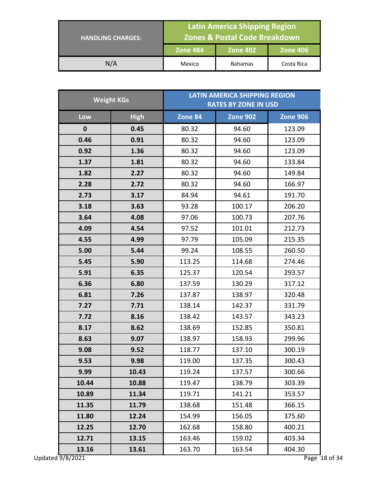| <b>HANDLING CHARGES:</b> | <b>Latin America Shipping Region</b><br><b>Zones &amp; Postal Code Breakdown</b> |                |                 |
|--------------------------|----------------------------------------------------------------------------------|----------------|-----------------|
|                          | <b>Zone 484</b>                                                                  |                | <b>Zone 406</b> |
| N/A                      | Mexico                                                                           | <b>Bahamas</b> | Costa Rica      |

| <b>Weight KGs</b>         |             | <b>LATIN AMERICA SHIPPING REGION</b><br><b>RATES BY ZONE IN USD</b> |                 |                         |
|---------------------------|-------------|---------------------------------------------------------------------|-----------------|-------------------------|
| Low                       | <b>High</b> | Zone 84                                                             | <b>Zone 902</b> | <b>Zone 906</b>         |
| $\mathbf{0}$              | 0.45        | 80.32                                                               | 94.60           | 123.09                  |
| 0.46                      | 0.91        | 80.32                                                               | 94.60           | 123.09                  |
| 0.92                      | 1.36        | 80.32                                                               | 94.60           | 123.09                  |
| 1.37                      | 1.81        | 80.32                                                               | 94.60           | 133.84                  |
| 1.82                      | 2.27        | 80.32                                                               | 94.60           | 149.84                  |
| 2.28                      | 2.72        | 80.32                                                               | 94.60           | 166.97                  |
| 2.73                      | 3.17        | 84.94                                                               | 94.61           | 191.70                  |
| 3.18                      | 3.63        | 93.28                                                               | 100.17          | 206.20                  |
| 3.64                      | 4.08        | 97.06                                                               | 100.73          | 207.76                  |
| 4.09                      | 4.54        | 97.52                                                               | 101.01          | 212.73                  |
| 4.55                      | 4.99        | 97.79                                                               | 105.09          | 215.35                  |
| 5.00                      | 5.44        | 99.24                                                               | 108.55          | 260.50                  |
| 5.45                      | 5.90        | 113.25                                                              | 114.68          | 274.46                  |
| 5.91                      | 6.35        | 125.37                                                              | 120.54          | 293.57                  |
| 6.36                      | 6.80        | 137.59                                                              | 130.29          | 317.12                  |
| 6.81                      | 7.26        | 137.87                                                              | 138.97          | 320.48                  |
| 7.27                      | 7.71        | 138.14                                                              | 142.37          | 331.79                  |
| 7.72                      | 8.16        | 138.42                                                              | 143.57          | 343.23                  |
| 8.17                      | 8.62        | 138.69                                                              | 152.85          | 350.81                  |
| 8.63                      | 9.07        | 138.97                                                              | 158.93          | 299.96                  |
| 9.08                      | 9.52        | 118.77                                                              | 137.10          | 300.19                  |
| 9.53                      | 9.98        | 119.00                                                              | 137.35          | 300.43                  |
| 9.99                      | 10.43       | 119.24                                                              | 137.57          | 300.66                  |
| 10.44                     | 10.88       | 119.47                                                              | 138.79          | 303.39                  |
| 10.89                     | 11.34       | 119.71                                                              | 141.21          | 353.57                  |
| 11.35                     | 11.79       | 138.68                                                              | 151.48          | 366.15                  |
| 11.80                     | 12.24       | 154.99                                                              | 156.05          | 375.60                  |
| 12.25                     | 12.70       | 162.68                                                              | 158.80          | 400.21                  |
| 12.71                     | 13.15       | 163.46                                                              | 159.02          | 403.34                  |
| 13.16<br>Updated 9/8/2021 | 13.61       | 163.70                                                              | 163.54          | 404.30<br>Page 18 of 34 |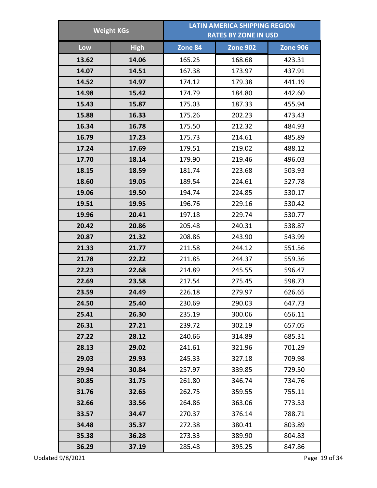| <b>Weight KGs</b> |             | <b>LATIN AMERICA SHIPPING REGION</b><br><b>RATES BY ZONE IN USD</b> |                 |                 |  |
|-------------------|-------------|---------------------------------------------------------------------|-----------------|-----------------|--|
|                   |             |                                                                     |                 |                 |  |
| Low               | <b>High</b> | Zone 84                                                             | <b>Zone 902</b> | <b>Zone 906</b> |  |
| 13.62             | 14.06       | 165.25                                                              | 168.68          | 423.31          |  |
| 14.07             | 14.51       | 167.38                                                              | 173.97          | 437.91          |  |
| 14.52             | 14.97       | 174.12                                                              | 179.38          | 441.19          |  |
| 14.98             | 15.42       | 174.79                                                              | 184.80          | 442.60          |  |
| 15.43             | 15.87       | 175.03                                                              | 187.33          | 455.94          |  |
| 15.88             | 16.33       | 175.26                                                              | 202.23          | 473.43          |  |
| 16.34             | 16.78       | 175.50                                                              | 212.32          | 484.93          |  |
| 16.79             | 17.23       | 175.73                                                              | 214.61          | 485.89          |  |
| 17.24             | 17.69       | 179.51                                                              | 219.02          | 488.12          |  |
| 17.70             | 18.14       | 179.90                                                              | 219.46          | 496.03          |  |
| 18.15             | 18.59       | 181.74                                                              | 223.68          | 503.93          |  |
| 18.60             | 19.05       | 189.54                                                              | 224.61          | 527.78          |  |
| 19.06             | 19.50       | 194.74                                                              | 224.85          | 530.17          |  |
| 19.51             | 19.95       | 196.76                                                              | 229.16          | 530.42          |  |
| 19.96             | 20.41       | 197.18                                                              | 229.74          | 530.77          |  |
| 20.42             | 20.86       | 205.48                                                              | 240.31          | 538.87          |  |
| 20.87             | 21.32       | 208.86                                                              | 243.90          | 543.99          |  |
| 21.33             | 21.77       | 211.58                                                              | 244.12          | 551.56          |  |
| 21.78             | 22.22       | 211.85                                                              | 244.37          | 559.36          |  |
| 22.23             | 22.68       | 214.89                                                              | 245.55          | 596.47          |  |
| 22.69             | 23.58       | 217.54                                                              | 275.45          | 598.73          |  |
| 23.59             | 24.49       | 226.18                                                              | 279.97          | 626.65          |  |
| 24.50             | 25.40       | 230.69                                                              | 290.03          | 647.73          |  |
| 25.41             | 26.30       | 235.19                                                              | 300.06          | 656.11          |  |
| 26.31             | 27.21       | 239.72                                                              | 302.19          | 657.05          |  |
| 27.22             | 28.12       | 240.66                                                              | 314.89          | 685.31          |  |
| 28.13             | 29.02       | 241.61                                                              | 321.96          | 701.29          |  |
| 29.03             | 29.93       | 245.33                                                              | 327.18          | 709.98          |  |
| 29.94             | 30.84       | 257.97                                                              | 339.85          | 729.50          |  |
| 30.85             | 31.75       | 261.80                                                              | 346.74          | 734.76          |  |
| 31.76             | 32.65       | 262.75                                                              | 359.55          | 755.11          |  |
| 32.66             | 33.56       | 264.86                                                              | 363.06          | 773.53          |  |
| 33.57             | 34.47       | 270.37                                                              | 376.14          | 788.71          |  |
| 34.48             | 35.37       | 272.38                                                              | 380.41          | 803.89          |  |
| 35.38             | 36.28       | 273.33                                                              | 389.90          | 804.83          |  |
| 36.29             | 37.19       | 285.48                                                              | 395.25          | 847.86          |  |